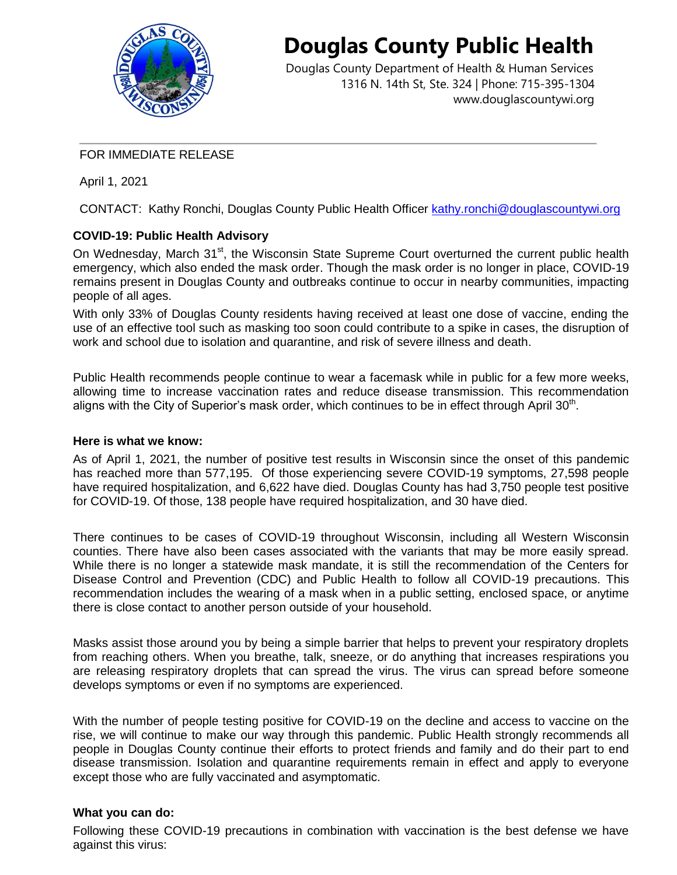

# **Douglas County Public Health**

Douglas County Department of Health & Human Services 1316 N. 14th St, Ste. 324 | Phone: 715-395-1304 [www.douglascountywi.org](http://www.douglascountywi.org/)

## FOR IMMEDIATE RELEASE

April 1, 2021

CONTACT: Kathy Ronchi, Douglas County Public Health Officer [kathy.ronchi@douglascountywi.org](mailto:kelli.engen@sccwi.gov)

# **COVID-19: Public Health Advisory**

On Wednesday, March 31<sup>st</sup>, the Wisconsin State Supreme Court overturned the current public health emergency, which also ended the mask order. Though the mask order is no longer in place, COVID-19 remains present in Douglas County and outbreaks continue to occur in nearby communities, impacting people of all ages.

With only 33% of Douglas County residents having received at least one dose of vaccine, ending the use of an effective tool such as masking too soon could contribute to a spike in cases, the disruption of work and school due to isolation and quarantine, and risk of severe illness and death.

Public Health recommends people continue to wear a facemask while in public for a few more weeks, allowing time to increase vaccination rates and reduce disease transmission. This recommendation aligns with the City of Superior's mask order, which continues to be in effect through April 30<sup>th</sup>.

## **Here is what we know:**

As of April 1, 2021, the number of positive test results in Wisconsin since the onset of this pandemic has reached more than 577,195. Of those experiencing severe COVID-19 symptoms, 27,598 people have required hospitalization, and 6,622 have died. Douglas County has had 3,750 people test positive for COVID-19. Of those, 138 people have required hospitalization, and 30 have died.

There continues to be cases of COVID-19 throughout Wisconsin, including all Western Wisconsin counties. There have also been cases associated with the variants that may be more easily spread. While there is no longer a statewide mask mandate, it is still the recommendation of the Centers for Disease Control and Prevention (CDC) and Public Health to follow all COVID-19 precautions. This recommendation includes the wearing of a mask when in a public setting, enclosed space, or anytime there is close contact to another person outside of your household.

Masks assist those around you by being a simple barrier that helps to prevent your respiratory droplets from reaching others. When you breathe, talk, sneeze, or do anything that increases respirations you are releasing respiratory droplets that can spread the virus. The virus can spread before someone develops symptoms or even if no symptoms are experienced.

With the number of people testing positive for COVID-19 on the decline and access to vaccine on the rise, we will continue to make our way through this pandemic. Public Health strongly recommends all people in Douglas County continue their efforts to protect friends and family and do their part to end disease transmission. Isolation and quarantine requirements remain in effect and apply to everyone except those who are fully vaccinated and asymptomatic.

## **What you can do:**

Following these COVID-19 precautions in combination with vaccination is the best defense we have against this virus: